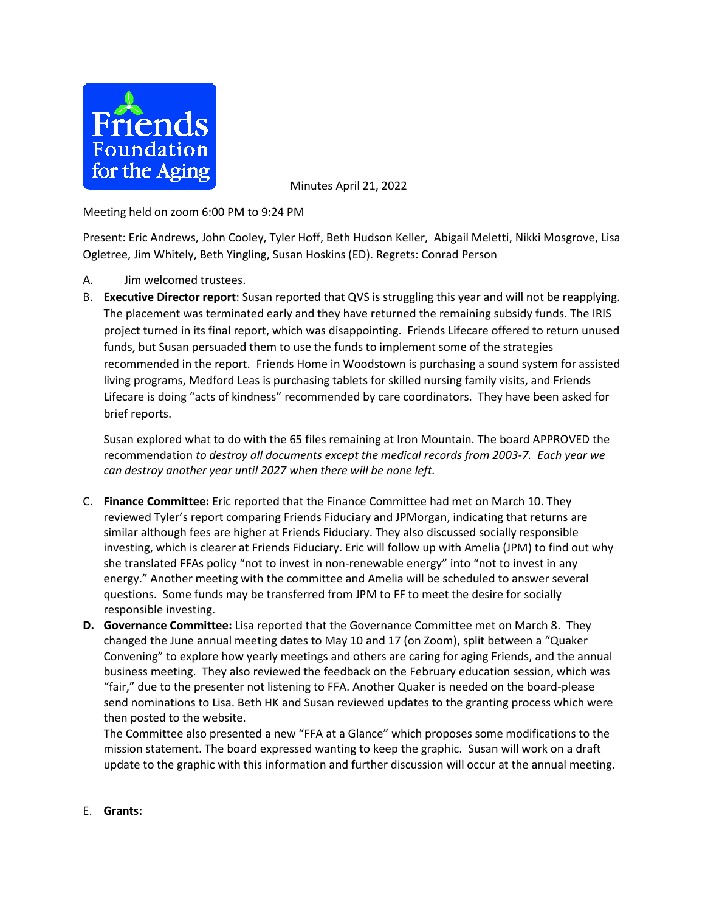

Minutes April 21, 2022

Meeting held on zoom 6:00 PM to 9:24 PM

Present: Eric Andrews, John Cooley, Tyler Hoff, Beth Hudson Keller, Abigail Meletti, Nikki Mosgrove, Lisa Ogletree, Jim Whitely, Beth Yingling, Susan Hoskins (ED). Regrets: Conrad Person

- A. Jim welcomed trustees.
- B. **Executive Director report**: Susan reported that QVS is struggling this year and will not be reapplying. The placement was terminated early and they have returned the remaining subsidy funds. The IRIS project turned in its final report, which was disappointing. Friends Lifecare offered to return unused funds, but Susan persuaded them to use the funds to implement some of the strategies recommended in the report. Friends Home in Woodstown is purchasing a sound system for assisted living programs, Medford Leas is purchasing tablets for skilled nursing family visits, and Friends Lifecare is doing "acts of kindness" recommended by care coordinators. They have been asked for brief reports.

Susan explored what to do with the 65 files remaining at Iron Mountain. The board APPROVED the recommendation *to destroy all documents except the medical records from 2003-7. Each year we can destroy another year until 2027 when there will be none left.*

- C. **Finance Committee:** Eric reported that the Finance Committee had met on March 10. They reviewed Tyler's report comparing Friends Fiduciary and JPMorgan, indicating that returns are similar although fees are higher at Friends Fiduciary. They also discussed socially responsible investing, which is clearer at Friends Fiduciary. Eric will follow up with Amelia (JPM) to find out why she translated FFAs policy "not to invest in non-renewable energy" into "not to invest in any energy." Another meeting with the committee and Amelia will be scheduled to answer several questions. Some funds may be transferred from JPM to FF to meet the desire for socially responsible investing.
- **D. Governance Committee:** Lisa reported that the Governance Committee met on March 8. They changed the June annual meeting dates to May 10 and 17 (on Zoom), split between a "Quaker Convening" to explore how yearly meetings and others are caring for aging Friends, and the annual business meeting. They also reviewed the feedback on the February education session, which was "fair," due to the presenter not listening to FFA. Another Quaker is needed on the board-please send nominations to Lisa. Beth HK and Susan reviewed updates to the granting process which were then posted to the website.

The Committee also presented a new "FFA at a Glance" which proposes some modifications to the mission statement. The board expressed wanting to keep the graphic. Susan will work on a draft update to the graphic with this information and further discussion will occur at the annual meeting.

E. **Grants:**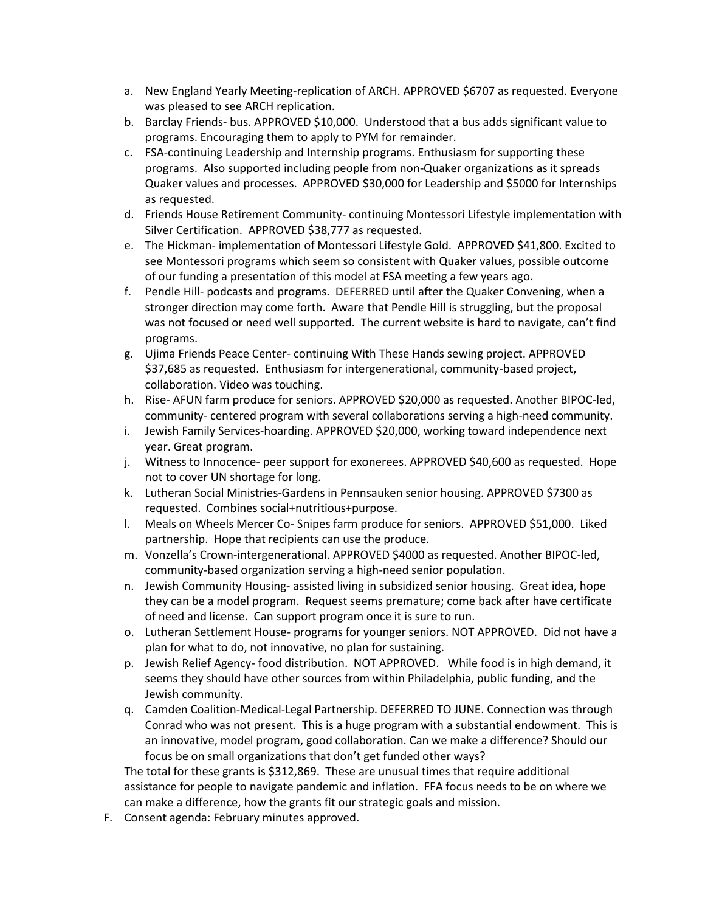- a. New England Yearly Meeting-replication of ARCH. APPROVED \$6707 as requested. Everyone was pleased to see ARCH replication.
- b. Barclay Friends- bus. APPROVED \$10,000. Understood that a bus adds significant value to programs. Encouraging them to apply to PYM for remainder.
- c. FSA-continuing Leadership and Internship programs. Enthusiasm for supporting these programs. Also supported including people from non-Quaker organizations as it spreads Quaker values and processes. APPROVED \$30,000 for Leadership and \$5000 for Internships as requested.
- d. Friends House Retirement Community- continuing Montessori Lifestyle implementation with Silver Certification. APPROVED \$38,777 as requested.
- e. The Hickman- implementation of Montessori Lifestyle Gold. APPROVED \$41,800. Excited to see Montessori programs which seem so consistent with Quaker values, possible outcome of our funding a presentation of this model at FSA meeting a few years ago.
- f. Pendle Hill- podcasts and programs. DEFERRED until after the Quaker Convening, when a stronger direction may come forth. Aware that Pendle Hill is struggling, but the proposal was not focused or need well supported. The current website is hard to navigate, can't find programs.
- g. Ujima Friends Peace Center- continuing With These Hands sewing project. APPROVED \$37,685 as requested. Enthusiasm for intergenerational, community-based project, collaboration. Video was touching.
- h. Rise- AFUN farm produce for seniors. APPROVED \$20,000 as requested. Another BIPOC-led, community- centered program with several collaborations serving a high-need community.
- i. Jewish Family Services-hoarding. APPROVED \$20,000, working toward independence next year. Great program.
- j. Witness to Innocence- peer support for exonerees. APPROVED \$40,600 as requested. Hope not to cover UN shortage for long.
- k. Lutheran Social Ministries-Gardens in Pennsauken senior housing. APPROVED \$7300 as requested. Combines social+nutritious+purpose.
- l. Meals on Wheels Mercer Co- Snipes farm produce for seniors. APPROVED \$51,000. Liked partnership. Hope that recipients can use the produce.
- m. Vonzella's Crown-intergenerational. APPROVED \$4000 as requested. Another BIPOC-led, community-based organization serving a high-need senior population.
- n. Jewish Community Housing- assisted living in subsidized senior housing. Great idea, hope they can be a model program. Request seems premature; come back after have certificate of need and license. Can support program once it is sure to run.
- o. Lutheran Settlement House- programs for younger seniors. NOT APPROVED. Did not have a plan for what to do, not innovative, no plan for sustaining.
- p. Jewish Relief Agency- food distribution. NOT APPROVED. While food is in high demand, it seems they should have other sources from within Philadelphia, public funding, and the Jewish community.
- q. Camden Coalition-Medical-Legal Partnership. DEFERRED TO JUNE. Connection was through Conrad who was not present. This is a huge program with a substantial endowment. This is an innovative, model program, good collaboration. Can we make a difference? Should our focus be on small organizations that don't get funded other ways?

The total for these grants is \$312,869. These are unusual times that require additional assistance for people to navigate pandemic and inflation. FFA focus needs to be on where we can make a difference, how the grants fit our strategic goals and mission.

F. Consent agenda: February minutes approved.